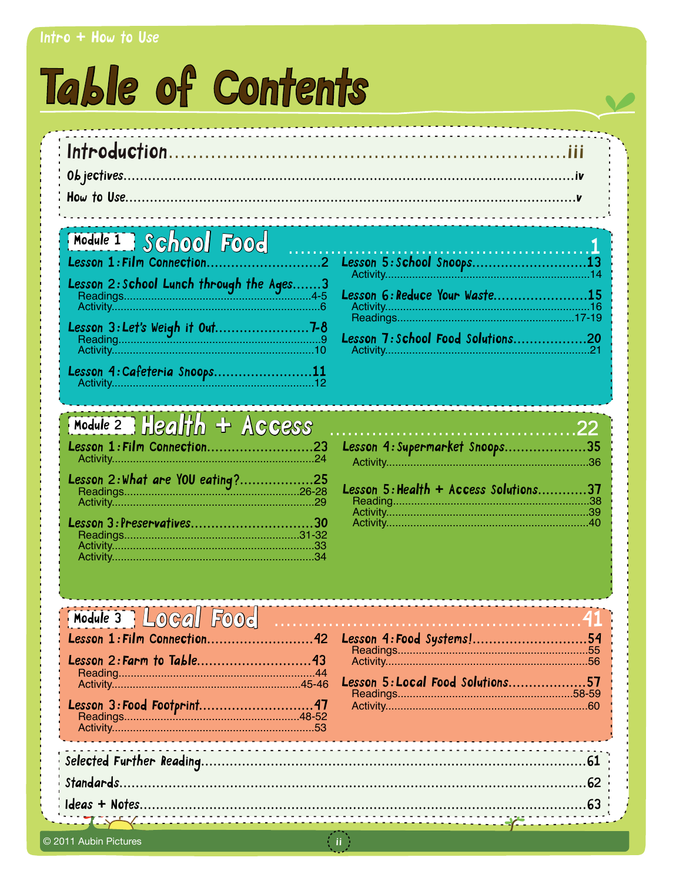#### Intro  $+$  How to Use

# Table of Contents

| Module 1 School Food (Food (Food) |  |
|-----------------------------------|--|
|                                   |  |
|                                   |  |

| Lesson 4: Cafeteria Snoops11 |  |  |
|------------------------------|--|--|

| Lesson 6:Reduce Your Waste15     |  |
|----------------------------------|--|
| Lesson 7:School Food Solutions20 |  |
| <b>Activity 21</b>               |  |

**SALE** 

### $Model$   $2$   $Hedth$  + Access

| Lesson 1: Film Connection23 |  |
|-----------------------------|--|
|                             |  |
|                             |  |
| Lesson 3: Preservatives30   |  |
|                             |  |
|                             |  |
|                             |  |

| Lesson 4: Supermarket Snoops35        |  |
|---------------------------------------|--|
|                                       |  |
| Lesson 5: Health + Access Solutions37 |  |
|                                       |  |
|                                       |  |
|                                       |  |

| Module 3   Local Food |                                                             |    |
|-----------------------|-------------------------------------------------------------|----|
|                       | Lesson 4: Food Systems!<br>Lesson 5: Local Food Solutions57 | 54 |
|                       |                                                             | 61 |
|                       | <b>The Common</b>                                           |    |

 $\pm$  ii  $\pm$ 

© 2011 Aubin Pictures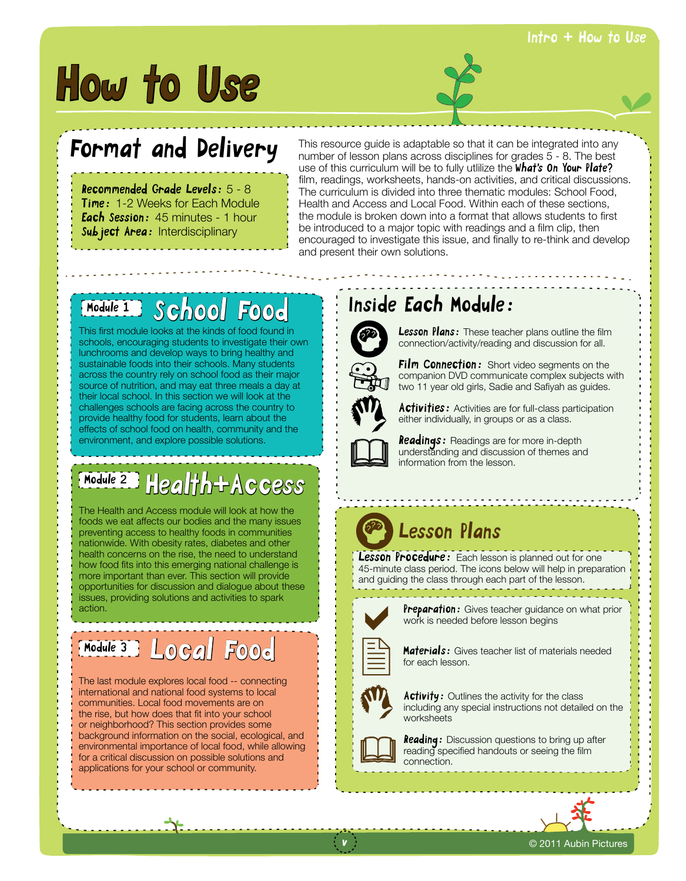# How to Use

### Format and Delivery

Recommended Grade Levels: 5 - 8 **Time: 1-2 Weeks for Each Module Each Session:** 45 minutes - 1 hour Sub ject Area: Interdisciplinary

This resource guide is adaptable so that it can be integrated into any number of lesson plans across disciplines for grades 5 - 8. The best use of this curriculum will be to fully utilize the What's On Your Plate? film, readings, worksheets, hands-on activities, and critical discussions. The curriculum is divided into three thematic modules: School Food, Health and Access and Local Food. Within each of these sections, the module is broken down into a format that allows students to first be introduced to a major topic with readings and a film clip, then encouraged to investigate this issue, and finally to re-think and develop and present their own solutions.

#### Module 1 School Food

This first module looks at the kinds of food found in schools, encouraging students to investigate their own lunchrooms and develop ways to bring healthy and sustainable foods into their schools. Many students across the country rely on school food as their major source of nutrition, and may eat three meals a day at their local school. In this section we will look at the challenges schools are facing across the country to provide healthy food for students, learn about the effects of school food on health, community and the environment, and explore possible solutions.

#### Health+Access Module 2

The Health and Access module will look at how the foods we eat affects our bodies and the many issues preventing access to healthy foods in communities nationwide. With obesity rates, diabetes and other health concerns on the rise, the need to understand how food fits into this emerging national challenge is more important than ever. This section will provide opportunities for discussion and dialogue about these issues, providing solutions and activities to spark action.

# Local Food Module 3

The last module explores local food -- connecting international and national food systems to local communities. Local food movements are on the rise, but how does that fit into your school or neighborhood? This section provides some background information on the social, ecological, and environmental importance of local food, while allowing for a critical discussion on possible solutions and applications for your school or community.

#### Inside Each Module:



**Lesson Plans:** These teacher plans outline the film connection/activity/reading and discussion for all.



Film Connection: Short video segments on the companion DVD communicate complex subjects with two 11 year old girls, Sadie and Safiyah as guides.



 $\Box$ 

**Activities:** Activities are for full-class participation either individually, in groups or as a class.

**Readings:** Readings are for more in-depth understanding and discussion of themes and information from the lesson.

### Lesson Plans

Lesson Procedure: Each lesson is planned out for one 45-minute class period. The icons below will help in preparation and guiding the class through each part of the lesson.



Preparation: Gives teacher guidance on what prior work is needed before lesson begins



**Materials:** Gives teacher list of materials needed for each lesson.



 $\Box$ 

Activity: Outlines the activity for the class including any special instructions not detailed on the worksheets

**Reading:** Discussion questions to bring up after reading specified handouts or seeing the film connection.